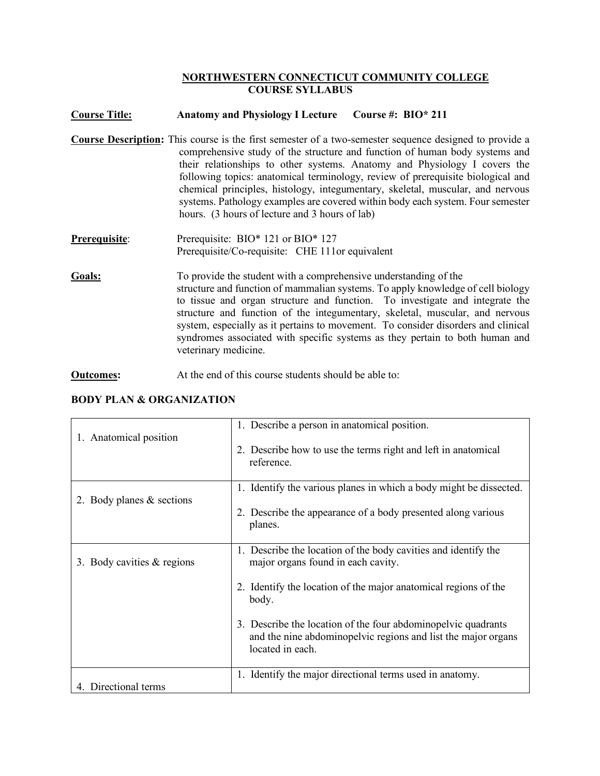### **NORTHWESTERN CONNECTICUT COMMUNITY COLLEGE COURSE SYLLABUS**

#### **Course Title: Anatomy and Physiology I Lecture Course #: BIO\* 211**

- **Course Description:** This course is the first semester of a two-semester sequence designed to provide a comprehensive study of the structure and function of human body systems and their relationships to other systems. Anatomy and Physiology I covers the following topics: anatomical terminology, review of prerequisite biological and chemical principles, histology, integumentary, skeletal, muscular, and nervous systems. Pathology examples are covered within body each system. Four semester hours. (3 hours of lecture and 3 hours of lab)
- **Prerequisite:** Prerequisite: BIO\* 121 or BIO\* 127 Prerequisite/Co-requisite: CHE 111or equivalent
- **Goals:** To provide the student with a comprehensive understanding of the structure and function of mammalian systems. To apply knowledge of cell biology to tissue and organ structure and function. To investigate and integrate the structure and function of the integumentary, skeletal, muscular, and nervous system, especially as it pertains to movement. To consider disorders and clinical syndromes associated with specific systems as they pertain to both human and veterinary medicine.
- **Outcomes:** At the end of this course students should be able to:

| 1. Anatomical position       | 1. Describe a person in anatomical position.<br>2. Describe how to use the terms right and left in anatomical<br>reference.                                                                                                                                                                                                            |
|------------------------------|----------------------------------------------------------------------------------------------------------------------------------------------------------------------------------------------------------------------------------------------------------------------------------------------------------------------------------------|
| 2. Body planes $&$ sections  | 1. Identify the various planes in which a body might be dissected.<br>2. Describe the appearance of a body presented along various<br>planes.                                                                                                                                                                                          |
| 3. Body cavities $&$ regions | 1. Describe the location of the body cavities and identify the<br>major organs found in each cavity.<br>2. Identify the location of the major anatomical regions of the<br>body.<br>3. Describe the location of the four abdominopelvic quadrants<br>and the nine abdominopelvic regions and list the major organs<br>located in each. |
| 4. Directional terms         | 1. Identify the major directional terms used in anatomy.                                                                                                                                                                                                                                                                               |

#### **BODY PLAN & ORGANIZATION**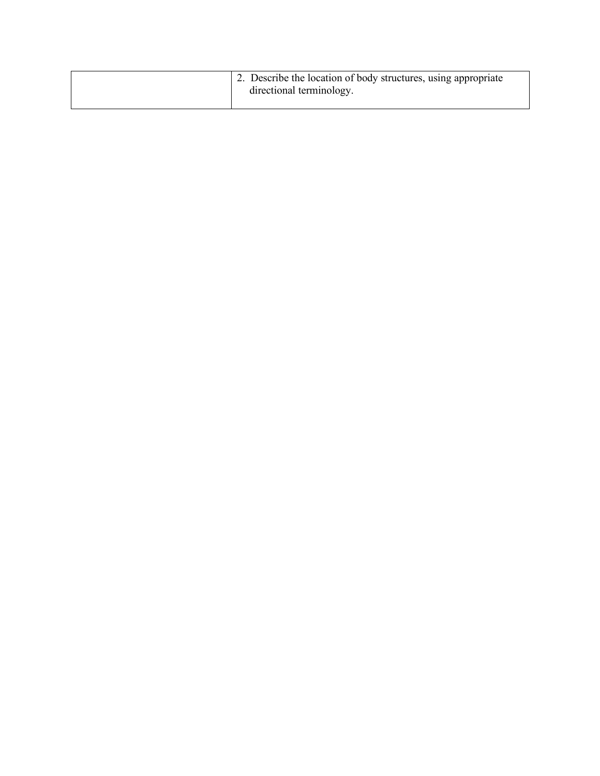|  | 1. 2. Describe the location of body structures, using appropriate<br>directional terminology. |
|--|-----------------------------------------------------------------------------------------------|
|  |                                                                                               |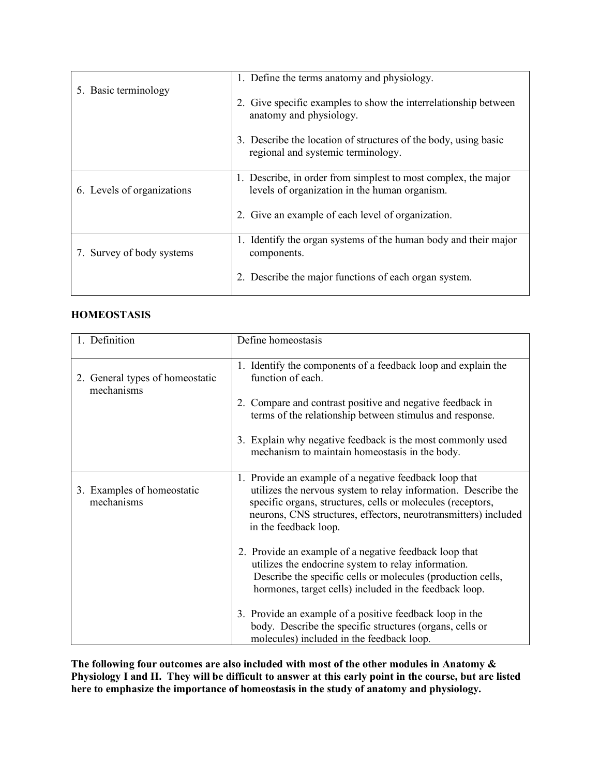| 5. Basic terminology       | 1. Define the terms anatomy and physiology.                                                                     |
|----------------------------|-----------------------------------------------------------------------------------------------------------------|
|                            | 2. Give specific examples to show the interrelationship between<br>anatomy and physiology.                      |
|                            | 3. Describe the location of structures of the body, using basic<br>regional and systemic terminology.           |
| 6. Levels of organizations | 1. Describe, in order from simplest to most complex, the major<br>levels of organization in the human organism. |
|                            | 2. Give an example of each level of organization.                                                               |
| 7. Survey of body systems  | 1. Identify the organ systems of the human body and their major<br>components.                                  |
|                            | 2. Describe the major functions of each organ system.                                                           |

## **HOMEOSTASIS**

| 1. Definition                                 | Define homeostasis                                                                                                                                                                                                                                                                  |
|-----------------------------------------------|-------------------------------------------------------------------------------------------------------------------------------------------------------------------------------------------------------------------------------------------------------------------------------------|
| 2. General types of homeostatic<br>mechanisms | 1. Identify the components of a feedback loop and explain the<br>function of each.<br>2. Compare and contrast positive and negative feedback in<br>terms of the relationship between stimulus and response.                                                                         |
|                                               | 3. Explain why negative feedback is the most commonly used<br>mechanism to maintain homeostasis in the body.                                                                                                                                                                        |
| 3. Examples of homeostatic<br>mechanisms      | 1. Provide an example of a negative feedback loop that<br>utilizes the nervous system to relay information. Describe the<br>specific organs, structures, cells or molecules (receptors,<br>neurons, CNS structures, effectors, neurotransmitters) included<br>in the feedback loop. |
|                                               | 2. Provide an example of a negative feedback loop that<br>utilizes the endocrine system to relay information.<br>Describe the specific cells or molecules (production cells,<br>hormones, target cells) included in the feedback loop.                                              |
|                                               | 3. Provide an example of a positive feedback loop in the<br>body. Describe the specific structures (organs, cells or<br>molecules) included in the feedback loop.                                                                                                                   |

**The following four outcomes are also included with most of the other modules in Anatomy & Physiology I and II. They will be difficult to answer at this early point in the course, but are listed here to emphasize the importance of homeostasis in the study of anatomy and physiology.**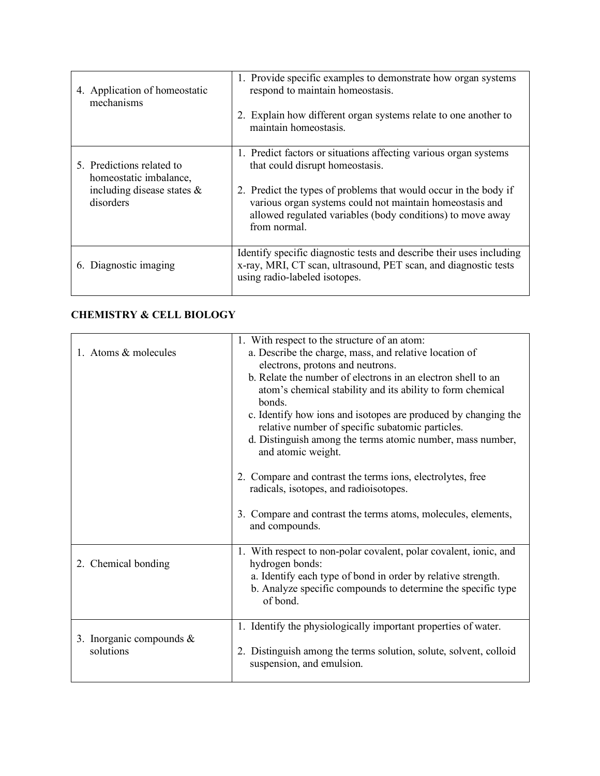| 4. Application of homeostatic<br>mechanisms                                                       | 1. Provide specific examples to demonstrate how organ systems<br>respond to maintain homeostasis.<br>2. Explain how different organ systems relate to one another to<br>maintain homeostasis.                                                                                                                     |
|---------------------------------------------------------------------------------------------------|-------------------------------------------------------------------------------------------------------------------------------------------------------------------------------------------------------------------------------------------------------------------------------------------------------------------|
| 5. Predictions related to<br>homeostatic imbalance,<br>including disease states $\&$<br>disorders | 1. Predict factors or situations affecting various organ systems<br>that could disrupt homeostasis.<br>2. Predict the types of problems that would occur in the body if<br>various organ systems could not maintain homeostasis and<br>allowed regulated variables (body conditions) to move away<br>from normal. |
| Diagnostic imaging<br>6.                                                                          | Identify specific diagnostic tests and describe their uses including<br>x-ray, MRI, CT scan, ultrasound, PET scan, and diagnostic tests<br>using radio-labeled isotopes.                                                                                                                                          |

# **CHEMISTRY & CELL BIOLOGY**

| 1. Atoms & molecules                    | 1. With respect to the structure of an atom:<br>a. Describe the charge, mass, and relative location of<br>electrons, protons and neutrons.<br>b. Relate the number of electrons in an electron shell to an<br>atom's chemical stability and its ability to form chemical<br>bonds.<br>c. Identify how ions and isotopes are produced by changing the<br>relative number of specific subatomic particles.<br>d. Distinguish among the terms atomic number, mass number,<br>and atomic weight.<br>2. Compare and contrast the terms ions, electrolytes, free<br>radicals, isotopes, and radioisotopes.<br>3. Compare and contrast the terms atoms, molecules, elements,<br>and compounds. |
|-----------------------------------------|-----------------------------------------------------------------------------------------------------------------------------------------------------------------------------------------------------------------------------------------------------------------------------------------------------------------------------------------------------------------------------------------------------------------------------------------------------------------------------------------------------------------------------------------------------------------------------------------------------------------------------------------------------------------------------------------|
| 2. Chemical bonding                     | 1. With respect to non-polar covalent, polar covalent, ionic, and<br>hydrogen bonds:<br>a. Identify each type of bond in order by relative strength.<br>b. Analyze specific compounds to determine the specific type<br>of bond.                                                                                                                                                                                                                                                                                                                                                                                                                                                        |
| 3. Inorganic compounds $&$<br>solutions | 1. Identify the physiologically important properties of water.<br>2. Distinguish among the terms solution, solute, solvent, colloid<br>suspension, and emulsion.                                                                                                                                                                                                                                                                                                                                                                                                                                                                                                                        |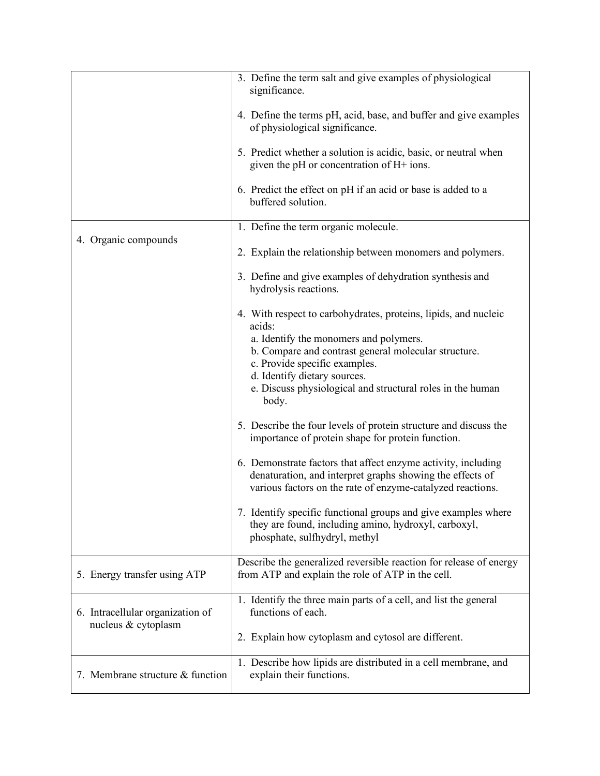|                                                         | 3. Define the term salt and give examples of physiological<br>significance.                                                                                                                                                                                                                                         |
|---------------------------------------------------------|---------------------------------------------------------------------------------------------------------------------------------------------------------------------------------------------------------------------------------------------------------------------------------------------------------------------|
|                                                         | 4. Define the terms pH, acid, base, and buffer and give examples<br>of physiological significance.                                                                                                                                                                                                                  |
|                                                         | 5. Predict whether a solution is acidic, basic, or neutral when<br>given the pH or concentration of H+ ions.                                                                                                                                                                                                        |
|                                                         | 6. Predict the effect on pH if an acid or base is added to a<br>buffered solution.                                                                                                                                                                                                                                  |
|                                                         | 1. Define the term organic molecule.                                                                                                                                                                                                                                                                                |
| 4. Organic compounds                                    | 2. Explain the relationship between monomers and polymers.                                                                                                                                                                                                                                                          |
|                                                         | 3. Define and give examples of dehydration synthesis and<br>hydrolysis reactions.                                                                                                                                                                                                                                   |
|                                                         | 4. With respect to carbohydrates, proteins, lipids, and nucleic<br>acids:<br>a. Identify the monomers and polymers.<br>b. Compare and contrast general molecular structure.<br>c. Provide specific examples.<br>d. Identify dietary sources.<br>e. Discuss physiological and structural roles in the human<br>body. |
|                                                         | 5. Describe the four levels of protein structure and discuss the<br>importance of protein shape for protein function.                                                                                                                                                                                               |
|                                                         | 6. Demonstrate factors that affect enzyme activity, including<br>denaturation, and interpret graphs showing the effects of<br>various factors on the rate of enzyme-catalyzed reactions.                                                                                                                            |
|                                                         | 7. Identify specific functional groups and give examples where<br>they are found, including amino, hydroxyl, carboxyl,<br>phosphate, sulfhydryl, methyl                                                                                                                                                             |
| 5. Energy transfer using ATP                            | Describe the generalized reversible reaction for release of energy<br>from ATP and explain the role of ATP in the cell.                                                                                                                                                                                             |
| 6. Intracellular organization of<br>nucleus & cytoplasm | 1. Identify the three main parts of a cell, and list the general<br>functions of each.<br>2. Explain how cytoplasm and cytosol are different.                                                                                                                                                                       |
|                                                         |                                                                                                                                                                                                                                                                                                                     |
| 7. Membrane structure & function                        | 1. Describe how lipids are distributed in a cell membrane, and<br>explain their functions.                                                                                                                                                                                                                          |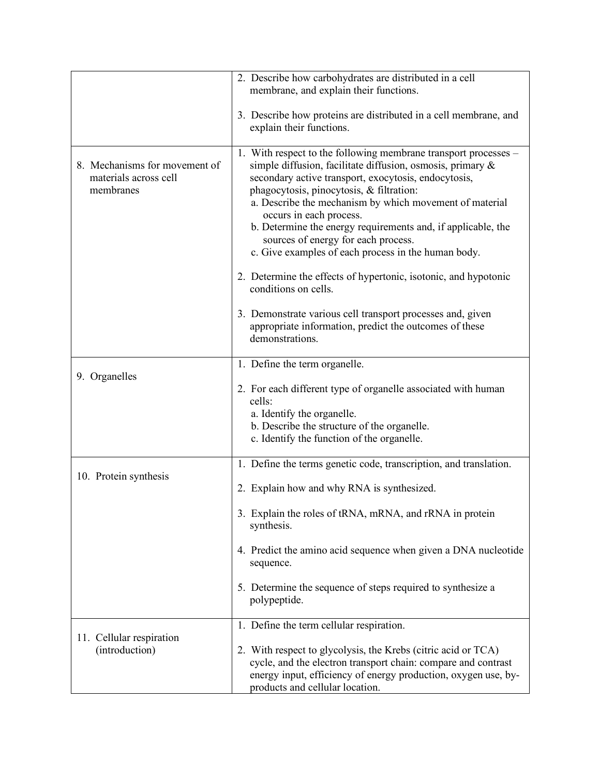|                                                                     | 2. Describe how carbohydrates are distributed in a cell<br>membrane, and explain their functions.                                                                                                                                                                                                                                                                                                                                                                                        |
|---------------------------------------------------------------------|------------------------------------------------------------------------------------------------------------------------------------------------------------------------------------------------------------------------------------------------------------------------------------------------------------------------------------------------------------------------------------------------------------------------------------------------------------------------------------------|
|                                                                     | 3. Describe how proteins are distributed in a cell membrane, and<br>explain their functions.                                                                                                                                                                                                                                                                                                                                                                                             |
| 8. Mechanisms for movement of<br>materials across cell<br>membranes | 1. With respect to the following membrane transport processes –<br>simple diffusion, facilitate diffusion, osmosis, primary $\&$<br>secondary active transport, exocytosis, endocytosis,<br>phagocytosis, pinocytosis, & filtration:<br>a. Describe the mechanism by which movement of material<br>occurs in each process.<br>b. Determine the energy requirements and, if applicable, the<br>sources of energy for each process.<br>c. Give examples of each process in the human body. |
|                                                                     | 2. Determine the effects of hypertonic, isotonic, and hypotonic<br>conditions on cells.                                                                                                                                                                                                                                                                                                                                                                                                  |
|                                                                     | 3. Demonstrate various cell transport processes and, given<br>appropriate information, predict the outcomes of these<br>demonstrations.                                                                                                                                                                                                                                                                                                                                                  |
| 9. Organelles                                                       | 1. Define the term organelle.                                                                                                                                                                                                                                                                                                                                                                                                                                                            |
|                                                                     | 2. For each different type of organelle associated with human<br>cells:<br>a. Identify the organelle.<br>b. Describe the structure of the organelle.                                                                                                                                                                                                                                                                                                                                     |
|                                                                     | c. Identify the function of the organelle.                                                                                                                                                                                                                                                                                                                                                                                                                                               |
| 10. Protein synthesis                                               | 1. Define the terms genetic code, transcription, and translation.                                                                                                                                                                                                                                                                                                                                                                                                                        |
|                                                                     | 2. Explain how and why RNA is synthesized.                                                                                                                                                                                                                                                                                                                                                                                                                                               |
|                                                                     | 3. Explain the roles of tRNA, mRNA, and rRNA in protein<br>synthesis.                                                                                                                                                                                                                                                                                                                                                                                                                    |
|                                                                     | 4. Predict the amino acid sequence when given a DNA nucleotide<br>sequence.                                                                                                                                                                                                                                                                                                                                                                                                              |
|                                                                     | 5. Determine the sequence of steps required to synthesize a<br>polypeptide.                                                                                                                                                                                                                                                                                                                                                                                                              |
| 11. Cellular respiration                                            | 1. Define the term cellular respiration.                                                                                                                                                                                                                                                                                                                                                                                                                                                 |
| (introduction)                                                      | 2. With respect to glycolysis, the Krebs (citric acid or TCA)<br>cycle, and the electron transport chain: compare and contrast<br>energy input, efficiency of energy production, oxygen use, by-<br>products and cellular location.                                                                                                                                                                                                                                                      |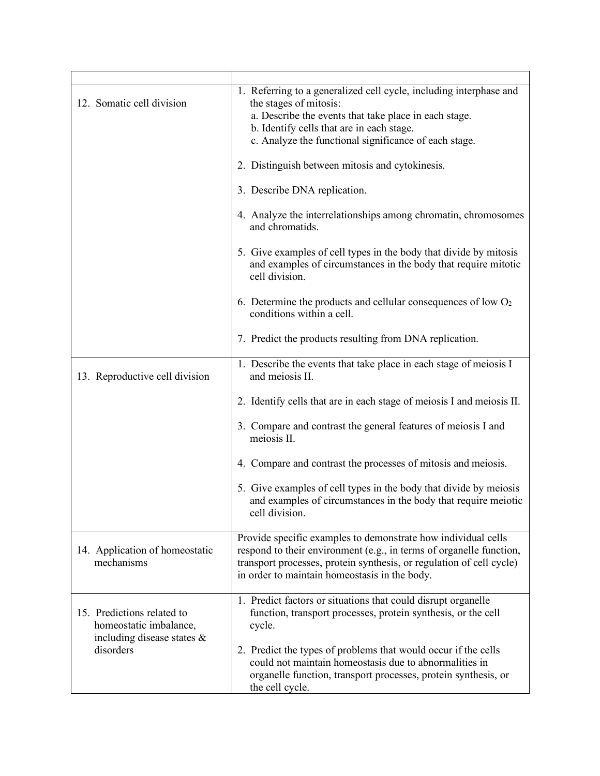| 12. Somatic cell division                                                             | 1. Referring to a generalized cell cycle, including interphase and<br>the stages of mitosis:<br>a. Describe the events that take place in each stage.<br>b. Identify cells that are in each stage.<br>c. Analyze the functional significance of each stage.   |
|---------------------------------------------------------------------------------------|---------------------------------------------------------------------------------------------------------------------------------------------------------------------------------------------------------------------------------------------------------------|
|                                                                                       | 2. Distinguish between mitosis and cytokinesis.                                                                                                                                                                                                               |
|                                                                                       | 3. Describe DNA replication.                                                                                                                                                                                                                                  |
|                                                                                       | 4. Analyze the interrelationships among chromatin, chromosomes<br>and chromatids.                                                                                                                                                                             |
|                                                                                       | 5. Give examples of cell types in the body that divide by mitosis<br>and examples of circumstances in the body that require mitotic<br>cell division.                                                                                                         |
|                                                                                       | 6. Determine the products and cellular consequences of low $O2$<br>conditions within a cell.                                                                                                                                                                  |
|                                                                                       | 7. Predict the products resulting from DNA replication.                                                                                                                                                                                                       |
| 13. Reproductive cell division                                                        | 1. Describe the events that take place in each stage of meiosis I<br>and meiosis II.                                                                                                                                                                          |
|                                                                                       | 2. Identify cells that are in each stage of meiosis I and meiosis II.                                                                                                                                                                                         |
|                                                                                       | 3. Compare and contrast the general features of meiosis I and<br>meiosis II.                                                                                                                                                                                  |
|                                                                                       | 4. Compare and contrast the processes of mitosis and meiosis.                                                                                                                                                                                                 |
|                                                                                       | 5. Give examples of cell types in the body that divide by meiosis<br>and examples of circumstances in the body that require meiotic<br>cell division.                                                                                                         |
| 14. Application of homeostatic<br>mechanisms                                          | Provide specific examples to demonstrate how individual cells<br>respond to their environment (e.g., in terms of organelle function,<br>transport processes, protein synthesis, or regulation of cell cycle)<br>in order to maintain homeostasis in the body. |
| 15. Predictions related to<br>homeostatic imbalance,<br>including disease states $\&$ | 1. Predict factors or situations that could disrupt organelle<br>function, transport processes, protein synthesis, or the cell<br>cycle.                                                                                                                      |
| disorders                                                                             | 2. Predict the types of problems that would occur if the cells<br>could not maintain homeostasis due to abnormalities in<br>organelle function, transport processes, protein synthesis, or<br>the cell cycle.                                                 |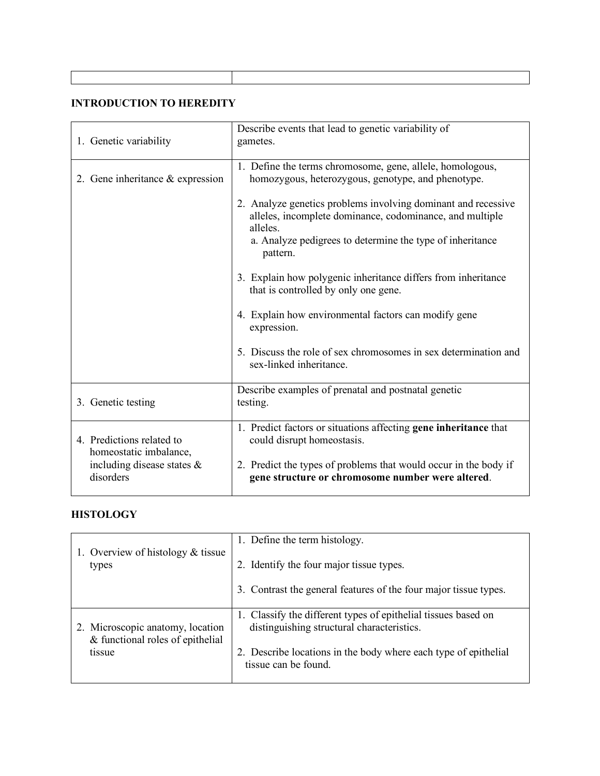# **INTRODUCTION TO HEREDITY**

| 1. Genetic variability                              | Describe events that lead to genetic variability of<br>gametes.                                                                                                                                                |
|-----------------------------------------------------|----------------------------------------------------------------------------------------------------------------------------------------------------------------------------------------------------------------|
| 2. Gene inheritance $\&$ expression                 | 1. Define the terms chromosome, gene, allele, homologous,<br>homozygous, heterozygous, genotype, and phenotype.                                                                                                |
|                                                     | 2. Analyze genetics problems involving dominant and recessive<br>alleles, incomplete dominance, codominance, and multiple<br>alleles.<br>a. Analyze pedigrees to determine the type of inheritance<br>pattern. |
|                                                     | 3. Explain how polygenic inheritance differs from inheritance<br>that is controlled by only one gene.                                                                                                          |
|                                                     | 4. Explain how environmental factors can modify gene<br>expression.                                                                                                                                            |
|                                                     | 5. Discuss the role of sex chromosomes in sex determination and<br>sex-linked inheritance.                                                                                                                     |
| 3. Genetic testing                                  | Describe examples of prenatal and postnatal genetic<br>testing.                                                                                                                                                |
| 4. Predictions related to<br>homeostatic imbalance, | 1. Predict factors or situations affecting gene inheritance that<br>could disrupt homeostasis.                                                                                                                 |
| including disease states $\&$<br>disorders          | 2. Predict the types of problems that would occur in the body if<br>gene structure or chromosome number were altered.                                                                                          |

# **HISTOLOGY**

| 1. Overview of histology $&$ tissue                                  | 1. Define the term histology.                                                                                |
|----------------------------------------------------------------------|--------------------------------------------------------------------------------------------------------------|
| types                                                                | 2. Identify the four major tissue types.                                                                     |
|                                                                      | 3. Contrast the general features of the four major tissue types.                                             |
| 2. Microscopic anatomy, location<br>& functional roles of epithelial | 1. Classify the different types of epithelial tissues based on<br>distinguishing structural characteristics. |
| tissue                                                               | 2. Describe locations in the body where each type of epithelial<br>tissue can be found.                      |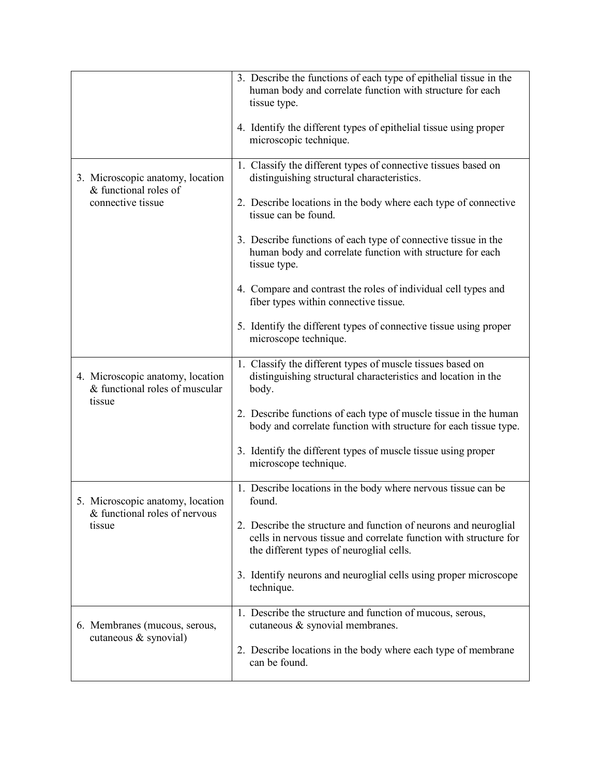|                                                                              | 3. Describe the functions of each type of epithelial tissue in the<br>human body and correlate function with structure for each<br>tissue type.<br>4. Identify the different types of epithelial tissue using proper |
|------------------------------------------------------------------------------|----------------------------------------------------------------------------------------------------------------------------------------------------------------------------------------------------------------------|
|                                                                              | microscopic technique.                                                                                                                                                                                               |
| 3. Microscopic anatomy, location<br>& functional roles of                    | 1. Classify the different types of connective tissues based on<br>distinguishing structural characteristics.                                                                                                         |
| connective tissue                                                            | 2. Describe locations in the body where each type of connective<br>tissue can be found.                                                                                                                              |
|                                                                              | 3. Describe functions of each type of connective tissue in the<br>human body and correlate function with structure for each<br>tissue type.                                                                          |
|                                                                              | 4. Compare and contrast the roles of individual cell types and<br>fiber types within connective tissue.                                                                                                              |
|                                                                              | 5. Identify the different types of connective tissue using proper<br>microscope technique.                                                                                                                           |
| 4. Microscopic anatomy, location<br>& functional roles of muscular<br>tissue | 1. Classify the different types of muscle tissues based on<br>distinguishing structural characteristics and location in the<br>body.                                                                                 |
|                                                                              | 2. Describe functions of each type of muscle tissue in the human<br>body and correlate function with structure for each tissue type.                                                                                 |
|                                                                              | 3. Identify the different types of muscle tissue using proper<br>microscope technique.                                                                                                                               |
| 5. Microscopic anatomy, location<br>& functional roles of nervous<br>tissue  | 1. Describe locations in the body where nervous tissue can be<br>found.                                                                                                                                              |
|                                                                              | 2. Describe the structure and function of neurons and neuroglial<br>cells in nervous tissue and correlate function with structure for<br>the different types of neuroglial cells.                                    |
|                                                                              | 3. Identify neurons and neuroglial cells using proper microscope<br>technique.                                                                                                                                       |
| 6. Membranes (mucous, serous,<br>cutaneous $\&$ synovial)                    | 1. Describe the structure and function of mucous, serous,<br>cutaneous & synovial membranes.                                                                                                                         |
|                                                                              | 2. Describe locations in the body where each type of membrane<br>can be found.                                                                                                                                       |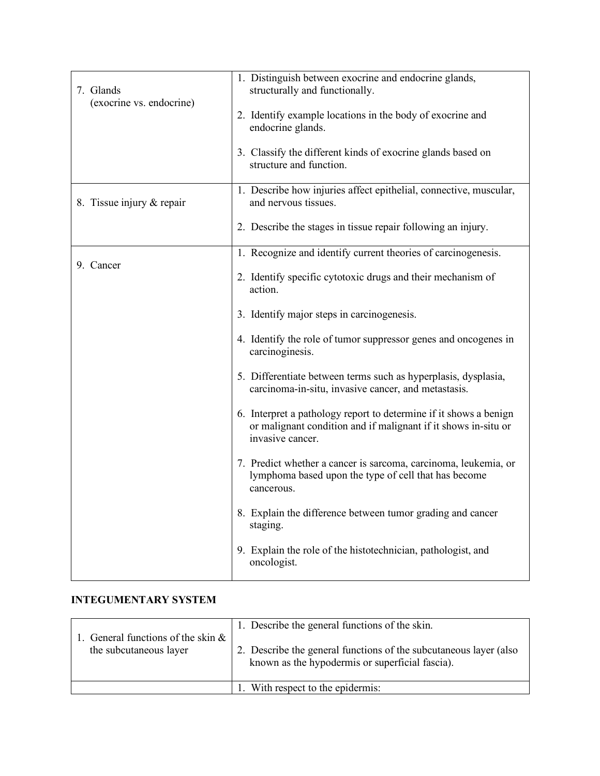| 7. Glands<br>(exocrine vs. endocrine) | 1. Distinguish between exocrine and endocrine glands,<br>structurally and functionally.<br>2. Identify example locations in the body of exocrine and<br>endocrine glands.<br>3. Classify the different kinds of exocrine glands based on<br>structure and function. |
|---------------------------------------|---------------------------------------------------------------------------------------------------------------------------------------------------------------------------------------------------------------------------------------------------------------------|
| 8. Tissue injury & repair             | 1. Describe how injuries affect epithelial, connective, muscular,<br>and nervous tissues.<br>2. Describe the stages in tissue repair following an injury.                                                                                                           |
|                                       |                                                                                                                                                                                                                                                                     |
|                                       | 1. Recognize and identify current theories of carcinogenesis.                                                                                                                                                                                                       |
| 9. Cancer                             | 2. Identify specific cytotoxic drugs and their mechanism of<br>action.                                                                                                                                                                                              |
|                                       | 3. Identify major steps in carcinogenesis.                                                                                                                                                                                                                          |
|                                       | 4. Identify the role of tumor suppressor genes and oncogenes in<br>carcinoginesis.                                                                                                                                                                                  |
|                                       | 5. Differentiate between terms such as hyperplasis, dysplasia,<br>carcinoma-in-situ, invasive cancer, and metastasis.                                                                                                                                               |
|                                       | 6. Interpret a pathology report to determine if it shows a benign<br>or malignant condition and if malignant if it shows in-situ or<br>invasive cancer.                                                                                                             |
|                                       | 7. Predict whether a cancer is sarcoma, carcinoma, leukemia, or<br>lymphoma based upon the type of cell that has become<br>cancerous.                                                                                                                               |
|                                       | 8. Explain the difference between tumor grading and cancer<br>staging.                                                                                                                                                                                              |
|                                       | 9. Explain the role of the histotechnician, pathologist, and<br>oncologist.                                                                                                                                                                                         |

# **INTEGUMENTARY SYSTEM**

| 1. General functions of the skin $\&$<br>the subcutaneous layer | 1. Describe the general functions of the skin.<br>2. Describe the general functions of the subcutaneous layer (also<br>known as the hypodermis or superficial fascia). |
|-----------------------------------------------------------------|------------------------------------------------------------------------------------------------------------------------------------------------------------------------|
|                                                                 | With respect to the epidermis:                                                                                                                                         |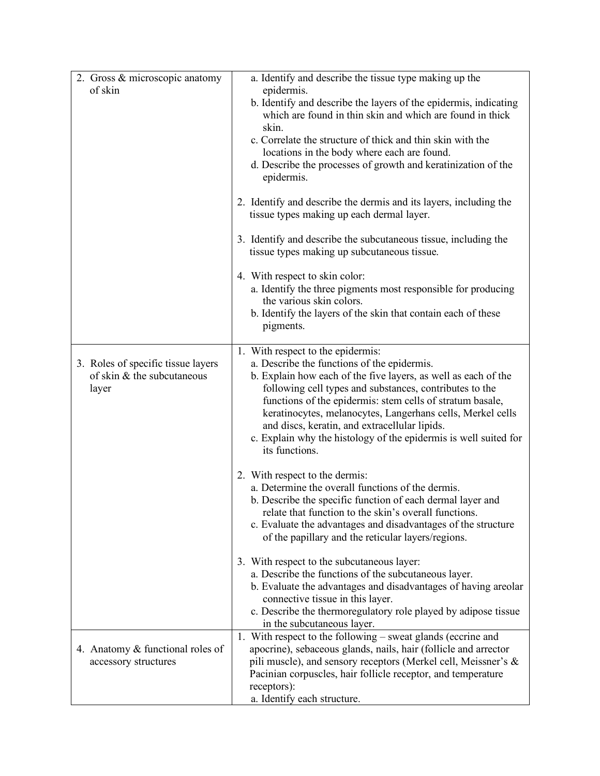| 2. Gross & microscopic anatomy<br>of skin                                 | a. Identify and describe the tissue type making up the<br>epidermis.<br>b. Identify and describe the layers of the epidermis, indicating<br>which are found in thin skin and which are found in thick<br>skin.<br>c. Correlate the structure of thick and thin skin with the<br>locations in the body where each are found.<br>d. Describe the processes of growth and keratinization of the<br>epidermis.                                                                      |
|---------------------------------------------------------------------------|---------------------------------------------------------------------------------------------------------------------------------------------------------------------------------------------------------------------------------------------------------------------------------------------------------------------------------------------------------------------------------------------------------------------------------------------------------------------------------|
|                                                                           | 2. Identify and describe the dermis and its layers, including the<br>tissue types making up each dermal layer.                                                                                                                                                                                                                                                                                                                                                                  |
|                                                                           | 3. Identify and describe the subcutaneous tissue, including the<br>tissue types making up subcutaneous tissue.                                                                                                                                                                                                                                                                                                                                                                  |
|                                                                           | 4. With respect to skin color:<br>a. Identify the three pigments most responsible for producing<br>the various skin colors.<br>b. Identify the layers of the skin that contain each of these<br>pigments.                                                                                                                                                                                                                                                                       |
| 3. Roles of specific tissue layers<br>of skin & the subcutaneous<br>layer | 1. With respect to the epidermis:<br>a. Describe the functions of the epidermis.<br>b. Explain how each of the five layers, as well as each of the<br>following cell types and substances, contributes to the<br>functions of the epidermis: stem cells of stratum basale,<br>keratinocytes, melanocytes, Langerhans cells, Merkel cells<br>and discs, keratin, and extracellular lipids.<br>c. Explain why the histology of the epidermis is well suited for<br>its functions. |
|                                                                           | 2. With respect to the dermis:<br>a. Determine the overall functions of the dermis.<br>b. Describe the specific function of each dermal layer and<br>relate that function to the skin's overall functions.<br>c. Evaluate the advantages and disadvantages of the structure<br>of the papillary and the reticular layers/regions.                                                                                                                                               |
|                                                                           | 3. With respect to the subcutaneous layer:<br>a. Describe the functions of the subcutaneous layer.<br>b. Evaluate the advantages and disadvantages of having areolar<br>connective tissue in this layer.<br>c. Describe the thermoregulatory role played by adipose tissue<br>in the subcutaneous layer.                                                                                                                                                                        |
| 4. Anatomy & functional roles of<br>accessory structures                  | 1. With respect to the following – sweat glands (eccrine and<br>apocrine), sebaceous glands, nails, hair (follicle and arrector<br>pili muscle), and sensory receptors (Merkel cell, Meissner's &<br>Pacinian corpuscles, hair follicle receptor, and temperature<br>receptors):<br>a. Identify each structure.                                                                                                                                                                 |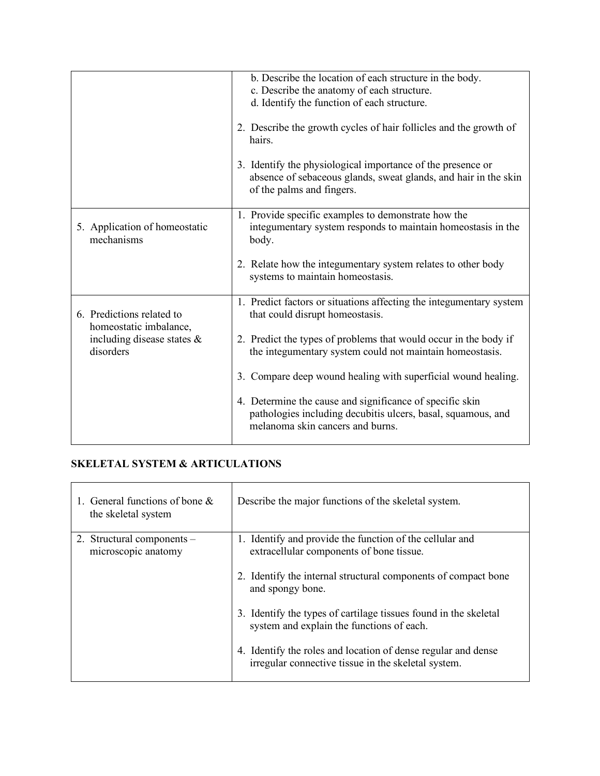|                                                     | b. Describe the location of each structure in the body.<br>c. Describe the anatomy of each structure.<br>d. Identify the function of each structure.<br>2. Describe the growth cycles of hair follicles and the growth of<br>hairs. |
|-----------------------------------------------------|-------------------------------------------------------------------------------------------------------------------------------------------------------------------------------------------------------------------------------------|
|                                                     | 3. Identify the physiological importance of the presence or<br>absence of sebaceous glands, sweat glands, and hair in the skin<br>of the palms and fingers.                                                                         |
| 5. Application of homeostatic<br>mechanisms         | 1. Provide specific examples to demonstrate how the<br>integumentary system responds to maintain homeostasis in the<br>body.                                                                                                        |
|                                                     | 2. Relate how the integumentary system relates to other body<br>systems to maintain homeostasis.                                                                                                                                    |
| 6. Predictions related to<br>homeostatic imbalance, | 1. Predict factors or situations affecting the integumentary system<br>that could disrupt homeostasis.                                                                                                                              |
| including disease states $\&$<br>disorders          | 2. Predict the types of problems that would occur in the body if<br>the integumentary system could not maintain homeostasis.                                                                                                        |
|                                                     | 3. Compare deep wound healing with superficial wound healing.                                                                                                                                                                       |
|                                                     | 4. Determine the cause and significance of specific skin<br>pathologies including decubitis ulcers, basal, squamous, and<br>melanoma skin cancers and burns.                                                                        |

# **SKELETAL SYSTEM & ARTICULATIONS**

| 1. General functions of bone $\&$<br>the skeletal system | Describe the major functions of the skeletal system.                                                                 |
|----------------------------------------------------------|----------------------------------------------------------------------------------------------------------------------|
| 2. Structural components –<br>microscopic anatomy        | 1. Identify and provide the function of the cellular and<br>extracellular components of bone tissue.                 |
|                                                          |                                                                                                                      |
|                                                          | 2. Identify the internal structural components of compact bone<br>and spongy bone.                                   |
|                                                          | 3. Identify the types of cartilage tissues found in the skeletal<br>system and explain the functions of each.        |
|                                                          | 4. Identify the roles and location of dense regular and dense<br>irregular connective tissue in the skeletal system. |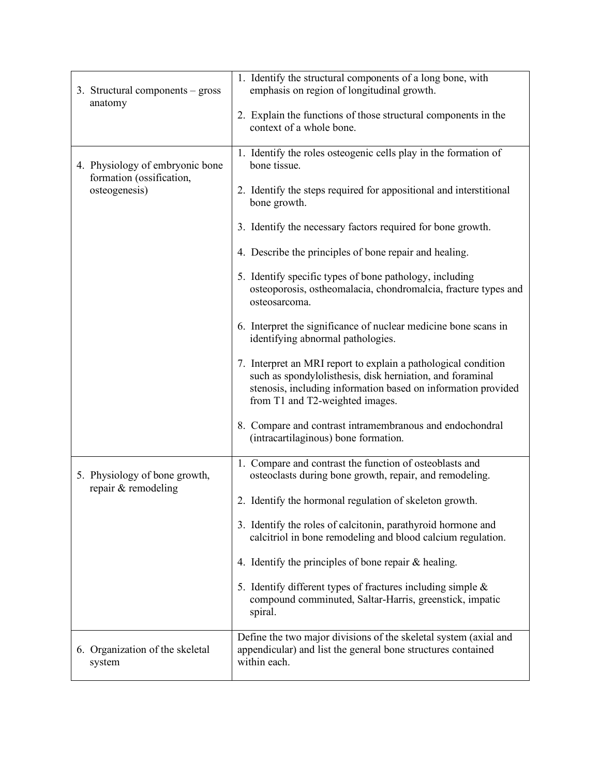| 3. Structural components – gross<br>anatomy                 | 1. Identify the structural components of a long bone, with<br>emphasis on region of longitudinal growth.<br>2. Explain the functions of those structural components in the<br>context of a whole bone.                          |
|-------------------------------------------------------------|---------------------------------------------------------------------------------------------------------------------------------------------------------------------------------------------------------------------------------|
| 4. Physiology of embryonic bone<br>formation (ossification, | 1. Identify the roles osteogenic cells play in the formation of<br>bone tissue.                                                                                                                                                 |
| osteogenesis)                                               | 2. Identify the steps required for appositional and interstitional<br>bone growth.                                                                                                                                              |
|                                                             | 3. Identify the necessary factors required for bone growth.                                                                                                                                                                     |
|                                                             | 4. Describe the principles of bone repair and healing.                                                                                                                                                                          |
|                                                             | 5. Identify specific types of bone pathology, including<br>osteoporosis, ostheomalacia, chondromalcia, fracture types and<br>osteosarcoma.                                                                                      |
|                                                             | 6. Interpret the significance of nuclear medicine bone scans in<br>identifying abnormal pathologies.                                                                                                                            |
|                                                             | 7. Interpret an MRI report to explain a pathological condition<br>such as spondylolisthesis, disk herniation, and foraminal<br>stenosis, including information based on information provided<br>from T1 and T2-weighted images. |
|                                                             | 8. Compare and contrast intramembranous and endochondral<br>(intracartilaginous) bone formation.                                                                                                                                |
| 5. Physiology of bone growth,<br>repair & remodeling        | 1. Compare and contrast the function of osteoblasts and<br>osteoclasts during bone growth, repair, and remodeling.                                                                                                              |
|                                                             | 2. Identify the hormonal regulation of skeleton growth.                                                                                                                                                                         |
|                                                             | 3. Identify the roles of calcitonin, parathyroid hormone and<br>calcitriol in bone remodeling and blood calcium regulation.                                                                                                     |
|                                                             | 4. Identify the principles of bone repair $\&$ healing.                                                                                                                                                                         |
|                                                             | 5. Identify different types of fractures including simple $\&$<br>compound comminuted, Saltar-Harris, greenstick, impatic<br>spiral.                                                                                            |
| 6. Organization of the skeletal<br>system                   | Define the two major divisions of the skeletal system (axial and<br>appendicular) and list the general bone structures contained<br>within each.                                                                                |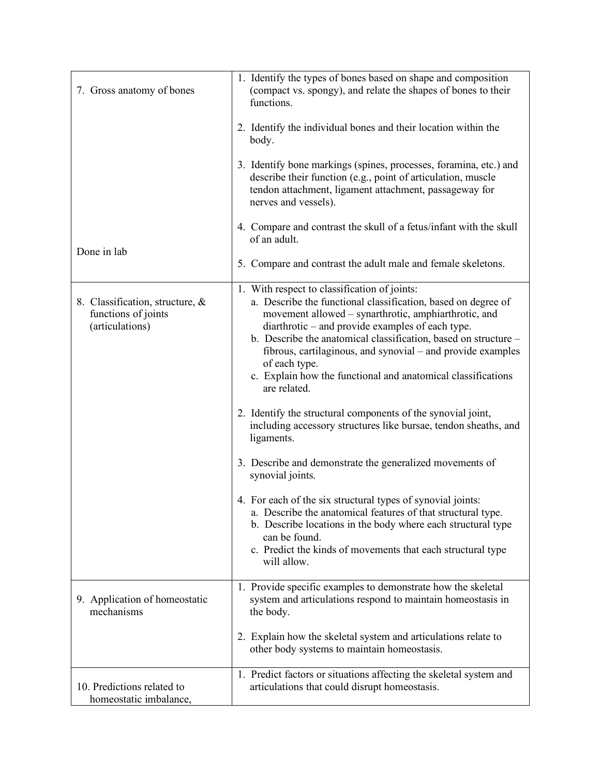| 7. Gross anatomy of bones                                                 | 1. Identify the types of bones based on shape and composition<br>(compact vs. spongy), and relate the shapes of bones to their<br>functions.                                                                                                                                                                                                                                                                                                                                                                                                                                                                                                                              |
|---------------------------------------------------------------------------|---------------------------------------------------------------------------------------------------------------------------------------------------------------------------------------------------------------------------------------------------------------------------------------------------------------------------------------------------------------------------------------------------------------------------------------------------------------------------------------------------------------------------------------------------------------------------------------------------------------------------------------------------------------------------|
|                                                                           | 2. Identify the individual bones and their location within the<br>body.                                                                                                                                                                                                                                                                                                                                                                                                                                                                                                                                                                                                   |
|                                                                           | 3. Identify bone markings (spines, processes, foramina, etc.) and<br>describe their function (e.g., point of articulation, muscle<br>tendon attachment, ligament attachment, passageway for<br>nerves and vessels).                                                                                                                                                                                                                                                                                                                                                                                                                                                       |
|                                                                           | 4. Compare and contrast the skull of a fetus/infant with the skull<br>of an adult.                                                                                                                                                                                                                                                                                                                                                                                                                                                                                                                                                                                        |
| Done in lab                                                               | 5. Compare and contrast the adult male and female skeletons.                                                                                                                                                                                                                                                                                                                                                                                                                                                                                                                                                                                                              |
| 8. Classification, structure, &<br>functions of joints<br>(articulations) | 1. With respect to classification of joints:<br>a. Describe the functional classification, based on degree of<br>movement allowed – synarthrotic, amphiarthrotic, and<br>diarthrotic – and provide examples of each type.<br>b. Describe the anatomical classification, based on structure –<br>fibrous, cartilaginous, and synovial – and provide examples<br>of each type.<br>c. Explain how the functional and anatomical classifications<br>are related.<br>2. Identify the structural components of the synovial joint,<br>including accessory structures like bursae, tendon sheaths, and<br>ligaments.<br>3. Describe and demonstrate the generalized movements of |
|                                                                           | synovial joints.<br>4. For each of the six structural types of synovial joints:<br>a. Describe the anatomical features of that structural type.<br>b. Describe locations in the body where each structural type<br>can be found.<br>c. Predict the kinds of movements that each structural type<br>will allow.                                                                                                                                                                                                                                                                                                                                                            |
| 9. Application of homeostatic<br>mechanisms                               | 1. Provide specific examples to demonstrate how the skeletal<br>system and articulations respond to maintain homeostasis in<br>the body.                                                                                                                                                                                                                                                                                                                                                                                                                                                                                                                                  |
|                                                                           | 2. Explain how the skeletal system and articulations relate to<br>other body systems to maintain homeostasis.                                                                                                                                                                                                                                                                                                                                                                                                                                                                                                                                                             |
| 10. Predictions related to<br>homeostatic imbalance,                      | 1. Predict factors or situations affecting the skeletal system and<br>articulations that could disrupt homeostasis.                                                                                                                                                                                                                                                                                                                                                                                                                                                                                                                                                       |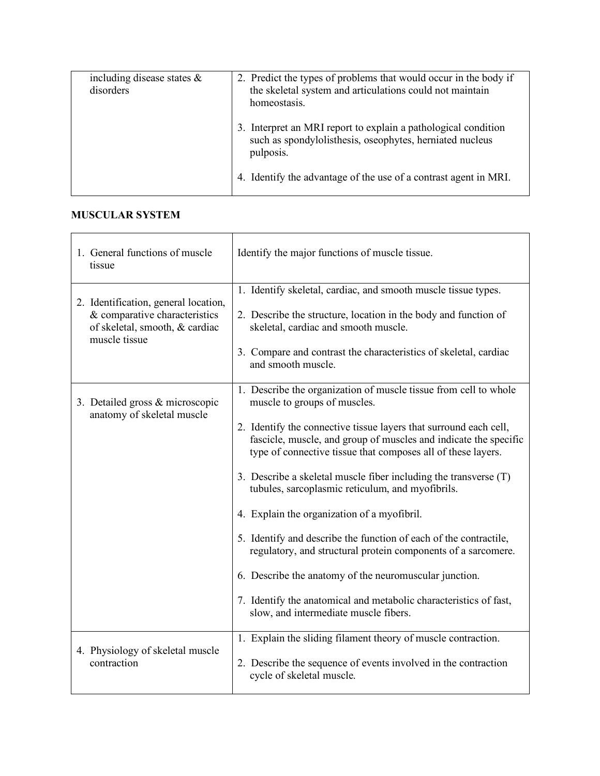| including disease states $\&$<br>disorders | 2. Predict the types of problems that would occur in the body if<br>the skeletal system and articulations could not maintain<br>homeostasis. |
|--------------------------------------------|----------------------------------------------------------------------------------------------------------------------------------------------|
|                                            | 3. Interpret an MRI report to explain a pathological condition<br>such as spondylolisthesis, oseophytes, herniated nucleus<br>pulposis.      |
|                                            | 4. Identify the advantage of the use of a contrast agent in MRI.                                                                             |

 $\mathbf{r}$ 

## **MUSCULAR SYSTEM**

 $\blacksquare$ 

| 1. General functions of muscle<br>tissue                                                                                 | Identify the major functions of muscle tissue.                                                                                                                                                                                                                                                                                                                                                                                                                                                                                                                                                                                                                                                                                                                                                 |
|--------------------------------------------------------------------------------------------------------------------------|------------------------------------------------------------------------------------------------------------------------------------------------------------------------------------------------------------------------------------------------------------------------------------------------------------------------------------------------------------------------------------------------------------------------------------------------------------------------------------------------------------------------------------------------------------------------------------------------------------------------------------------------------------------------------------------------------------------------------------------------------------------------------------------------|
| 2. Identification, general location,<br>& comparative characteristics<br>of skeletal, smooth, & cardiac<br>muscle tissue | 1. Identify skeletal, cardiac, and smooth muscle tissue types.<br>2. Describe the structure, location in the body and function of<br>skeletal, cardiac and smooth muscle.<br>3. Compare and contrast the characteristics of skeletal, cardiac<br>and smooth muscle.                                                                                                                                                                                                                                                                                                                                                                                                                                                                                                                            |
| 3. Detailed gross & microscopic<br>anatomy of skeletal muscle                                                            | 1. Describe the organization of muscle tissue from cell to whole<br>muscle to groups of muscles.<br>2. Identify the connective tissue layers that surround each cell,<br>fascicle, muscle, and group of muscles and indicate the specific<br>type of connective tissue that composes all of these layers.<br>3. Describe a skeletal muscle fiber including the transverse (T)<br>tubules, sarcoplasmic reticulum, and myofibrils.<br>4. Explain the organization of a myofibril.<br>5. Identify and describe the function of each of the contractile,<br>regulatory, and structural protein components of a sarcomere.<br>6. Describe the anatomy of the neuromuscular junction.<br>7. Identify the anatomical and metabolic characteristics of fast,<br>slow, and intermediate muscle fibers. |
| 4. Physiology of skeletal muscle<br>contraction                                                                          | 1. Explain the sliding filament theory of muscle contraction.<br>2. Describe the sequence of events involved in the contraction<br>cycle of skeletal muscle.                                                                                                                                                                                                                                                                                                                                                                                                                                                                                                                                                                                                                                   |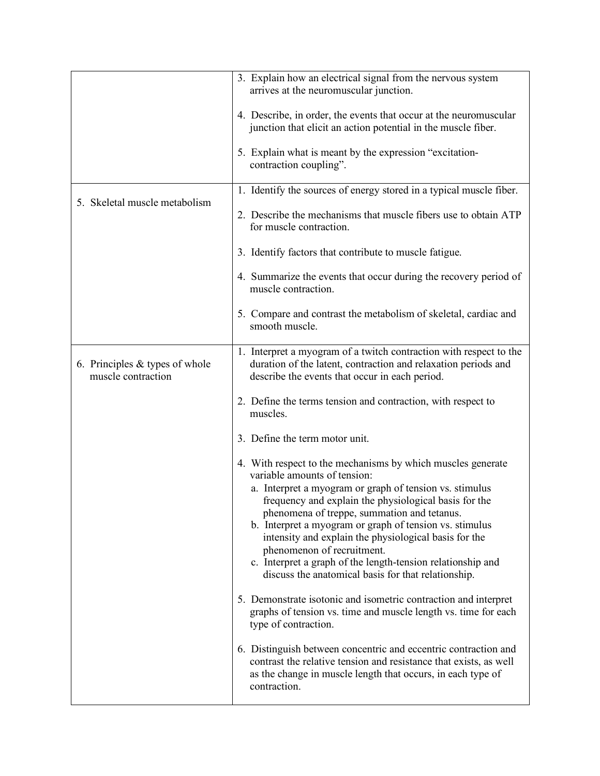|                                                        | 3. Explain how an electrical signal from the nervous system<br>arrives at the neuromuscular junction.                                                                                                               |
|--------------------------------------------------------|---------------------------------------------------------------------------------------------------------------------------------------------------------------------------------------------------------------------|
|                                                        | 4. Describe, in order, the events that occur at the neuromuscular<br>junction that elicit an action potential in the muscle fiber.                                                                                  |
|                                                        | 5. Explain what is meant by the expression "excitation-<br>contraction coupling".                                                                                                                                   |
|                                                        | 1. Identify the sources of energy stored in a typical muscle fiber.                                                                                                                                                 |
| 5. Skeletal muscle metabolism                          | 2. Describe the mechanisms that muscle fibers use to obtain ATP<br>for muscle contraction.                                                                                                                          |
|                                                        | 3. Identify factors that contribute to muscle fatigue.                                                                                                                                                              |
|                                                        | 4. Summarize the events that occur during the recovery period of<br>muscle contraction.                                                                                                                             |
|                                                        | 5. Compare and contrast the metabolism of skeletal, cardiac and<br>smooth muscle.                                                                                                                                   |
| 6. Principles $&$ types of whole<br>muscle contraction | 1. Interpret a myogram of a twitch contraction with respect to the<br>duration of the latent, contraction and relaxation periods and<br>describe the events that occur in each period.                              |
|                                                        | 2. Define the terms tension and contraction, with respect to<br>muscles.                                                                                                                                            |
|                                                        | 3. Define the term motor unit.                                                                                                                                                                                      |
|                                                        | 4. With respect to the mechanisms by which muscles generate<br>variable amounts of tension:                                                                                                                         |
|                                                        | a. Interpret a myogram or graph of tension vs. stimulus<br>frequency and explain the physiological basis for the                                                                                                    |
|                                                        | phenomena of treppe, summation and tetanus.<br>b. Interpret a myogram or graph of tension vs. stimulus<br>intensity and explain the physiological basis for the<br>phenomenon of recruitment.                       |
|                                                        | c. Interpret a graph of the length-tension relationship and<br>discuss the anatomical basis for that relationship.                                                                                                  |
|                                                        | 5. Demonstrate isotonic and isometric contraction and interpret<br>graphs of tension vs. time and muscle length vs. time for each<br>type of contraction.                                                           |
|                                                        | 6. Distinguish between concentric and eccentric contraction and<br>contrast the relative tension and resistance that exists, as well<br>as the change in muscle length that occurs, in each type of<br>contraction. |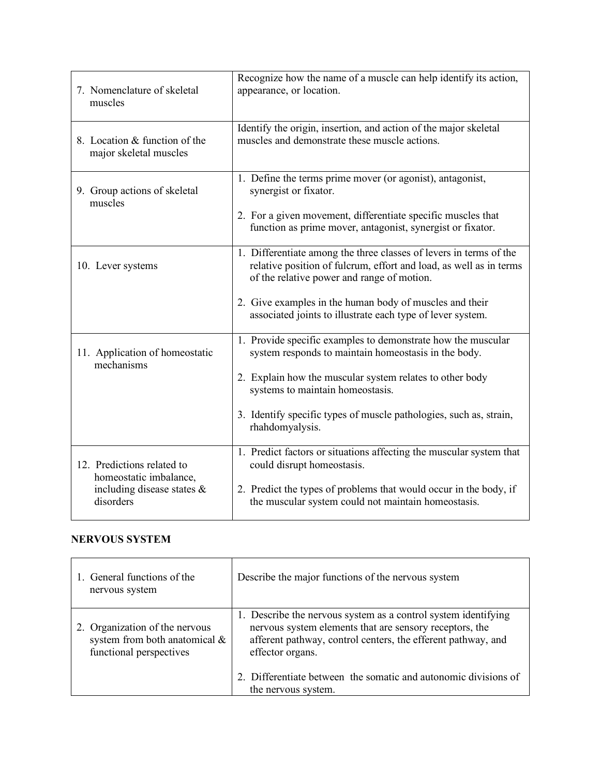| 7. Nomenclature of skeletal                  | Recognize how the name of a muscle can help identify its action,                                                                                                                                                                                                                                                |
|----------------------------------------------|-----------------------------------------------------------------------------------------------------------------------------------------------------------------------------------------------------------------------------------------------------------------------------------------------------------------|
| muscles                                      | appearance, or location.                                                                                                                                                                                                                                                                                        |
| 8. Location & function of the                | Identify the origin, insertion, and action of the major skeletal                                                                                                                                                                                                                                                |
| major skeletal muscles                       | muscles and demonstrate these muscle actions.                                                                                                                                                                                                                                                                   |
| 9. Group actions of skeletal<br>muscles      | 1. Define the terms prime mover (or agonist), antagonist,<br>synergist or fixator.<br>2. For a given movement, differentiate specific muscles that<br>function as prime mover, antagonist, synergist or fixator.                                                                                                |
| 10. Lever systems                            | 1. Differentiate among the three classes of levers in terms of the<br>relative position of fulcrum, effort and load, as well as in terms<br>of the relative power and range of motion.<br>2. Give examples in the human body of muscles and their<br>associated joints to illustrate each type of lever system. |
| 11. Application of homeostatic<br>mechanisms | 1. Provide specific examples to demonstrate how the muscular<br>system responds to maintain homeostasis in the body.<br>2. Explain how the muscular system relates to other body<br>systems to maintain homeostasis.<br>3. Identify specific types of muscle pathologies, such as, strain,<br>rhahdomyalysis.   |
| 12. Predictions related to                   | 1. Predict factors or situations affecting the muscular system that                                                                                                                                                                                                                                             |
| homeostatic imbalance,                       | could disrupt homeostasis.                                                                                                                                                                                                                                                                                      |
| including disease states $\&$                | 2. Predict the types of problems that would occur in the body, if                                                                                                                                                                                                                                               |
| disorders                                    | the muscular system could not maintain homeostasis.                                                                                                                                                                                                                                                             |

## **NERVOUS SYSTEM**

| 1. General functions of the<br>nervous system                                                 | Describe the major functions of the nervous system                                                                                                                                                            |
|-----------------------------------------------------------------------------------------------|---------------------------------------------------------------------------------------------------------------------------------------------------------------------------------------------------------------|
| 2. Organization of the nervous<br>system from both anatomical $\&$<br>functional perspectives | 1. Describe the nervous system as a control system identifying<br>nervous system elements that are sensory receptors, the<br>afferent pathway, control centers, the efferent pathway, and<br>effector organs. |
|                                                                                               | 2. Differentiate between the somatic and autonomic divisions of<br>the nervous system.                                                                                                                        |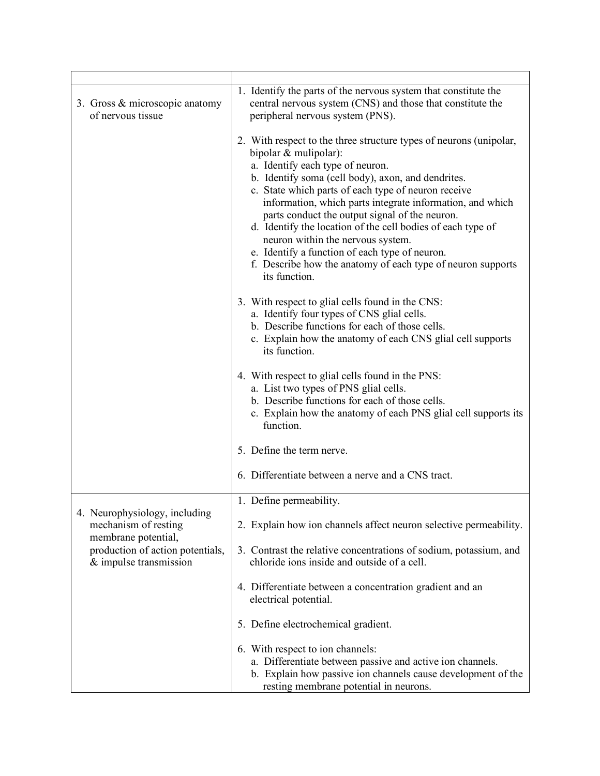| 3. Gross & microscopic anatomy<br>of nervous tissue                                                                                        | 1. Identify the parts of the nervous system that constitute the<br>central nervous system (CNS) and those that constitute the<br>peripheral nervous system (PNS).                                                                                                                                                                                                                                                                                                                                                                                                                                   |
|--------------------------------------------------------------------------------------------------------------------------------------------|-----------------------------------------------------------------------------------------------------------------------------------------------------------------------------------------------------------------------------------------------------------------------------------------------------------------------------------------------------------------------------------------------------------------------------------------------------------------------------------------------------------------------------------------------------------------------------------------------------|
|                                                                                                                                            | 2. With respect to the three structure types of neurons (unipolar,<br>bipolar $&$ mulipolar):<br>a. Identify each type of neuron.<br>b. Identify soma (cell body), axon, and dendrites.<br>c. State which parts of each type of neuron receive<br>information, which parts integrate information, and which<br>parts conduct the output signal of the neuron.<br>d. Identify the location of the cell bodies of each type of<br>neuron within the nervous system.<br>e. Identify a function of each type of neuron.<br>f. Describe how the anatomy of each type of neuron supports<br>its function. |
|                                                                                                                                            | 3. With respect to glial cells found in the CNS:<br>a. Identify four types of CNS glial cells.<br>b. Describe functions for each of those cells.<br>c. Explain how the anatomy of each CNS glial cell supports<br>its function.                                                                                                                                                                                                                                                                                                                                                                     |
|                                                                                                                                            | 4. With respect to glial cells found in the PNS:<br>a. List two types of PNS glial cells.<br>b. Describe functions for each of those cells.<br>c. Explain how the anatomy of each PNS glial cell supports its<br>function.                                                                                                                                                                                                                                                                                                                                                                          |
|                                                                                                                                            | 5. Define the term nerve.                                                                                                                                                                                                                                                                                                                                                                                                                                                                                                                                                                           |
|                                                                                                                                            | 6. Differentiate between a nerve and a CNS tract.                                                                                                                                                                                                                                                                                                                                                                                                                                                                                                                                                   |
|                                                                                                                                            | 1. Define permeability.                                                                                                                                                                                                                                                                                                                                                                                                                                                                                                                                                                             |
| 4. Neurophysiology, including<br>mechanism of resting<br>membrane potential,<br>production of action potentials,<br>& impulse transmission | 2. Explain how ion channels affect neuron selective permeability.                                                                                                                                                                                                                                                                                                                                                                                                                                                                                                                                   |
|                                                                                                                                            | 3. Contrast the relative concentrations of sodium, potassium, and<br>chloride ions inside and outside of a cell.                                                                                                                                                                                                                                                                                                                                                                                                                                                                                    |
|                                                                                                                                            | 4. Differentiate between a concentration gradient and an<br>electrical potential.                                                                                                                                                                                                                                                                                                                                                                                                                                                                                                                   |
|                                                                                                                                            | 5. Define electrochemical gradient.                                                                                                                                                                                                                                                                                                                                                                                                                                                                                                                                                                 |
|                                                                                                                                            | 6. With respect to ion channels:<br>a. Differentiate between passive and active ion channels.<br>b. Explain how passive ion channels cause development of the<br>resting membrane potential in neurons.                                                                                                                                                                                                                                                                                                                                                                                             |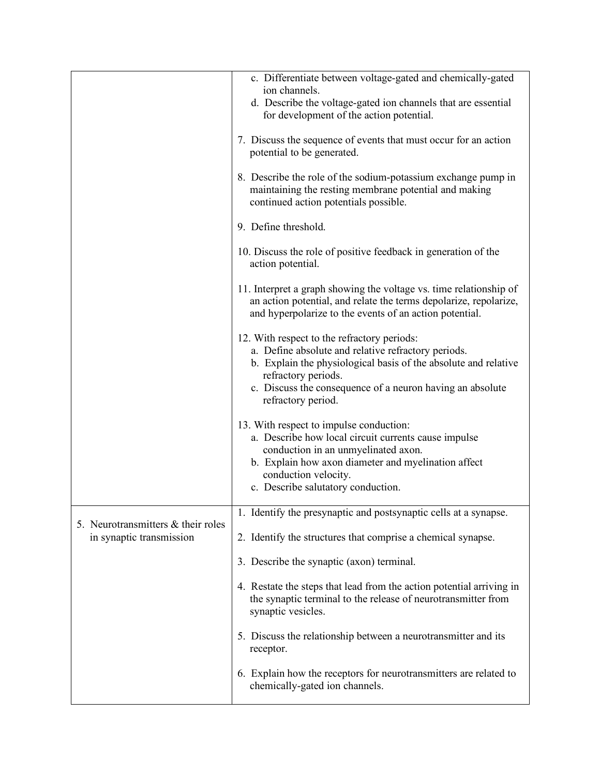|                                                                | c. Differentiate between voltage-gated and chemically-gated<br>ion channels.<br>d. Describe the voltage-gated ion channels that are essential                                                                                                                                   |
|----------------------------------------------------------------|---------------------------------------------------------------------------------------------------------------------------------------------------------------------------------------------------------------------------------------------------------------------------------|
|                                                                | for development of the action potential.                                                                                                                                                                                                                                        |
|                                                                | 7. Discuss the sequence of events that must occur for an action<br>potential to be generated.                                                                                                                                                                                   |
|                                                                | 8. Describe the role of the sodium-potassium exchange pump in<br>maintaining the resting membrane potential and making<br>continued action potentials possible.                                                                                                                 |
|                                                                | 9. Define threshold.                                                                                                                                                                                                                                                            |
|                                                                | 10. Discuss the role of positive feedback in generation of the<br>action potential.                                                                                                                                                                                             |
|                                                                | 11. Interpret a graph showing the voltage vs. time relationship of<br>an action potential, and relate the terms depolarize, repolarize,<br>and hyperpolarize to the events of an action potential.                                                                              |
|                                                                | 12. With respect to the refractory periods:<br>a. Define absolute and relative refractory periods.<br>b. Explain the physiological basis of the absolute and relative<br>refractory periods.<br>c. Discuss the consequence of a neuron having an absolute<br>refractory period. |
|                                                                | 13. With respect to impulse conduction:<br>a. Describe how local circuit currents cause impulse<br>conduction in an unmyelinated axon.<br>b. Explain how axon diameter and myelination affect<br>conduction velocity.<br>c. Describe salutatory conduction.                     |
| 5. Neurotransmitters & their roles<br>in synaptic transmission | 1. Identify the presynaptic and postsynaptic cells at a synapse.                                                                                                                                                                                                                |
|                                                                | 2. Identify the structures that comprise a chemical synapse.                                                                                                                                                                                                                    |
|                                                                | 3. Describe the synaptic (axon) terminal.                                                                                                                                                                                                                                       |
|                                                                | 4. Restate the steps that lead from the action potential arriving in<br>the synaptic terminal to the release of neurotransmitter from<br>synaptic vesicles.                                                                                                                     |
|                                                                | 5. Discuss the relationship between a neurotransmitter and its<br>receptor.                                                                                                                                                                                                     |
|                                                                | 6. Explain how the receptors for neurotransmitters are related to<br>chemically-gated ion channels.                                                                                                                                                                             |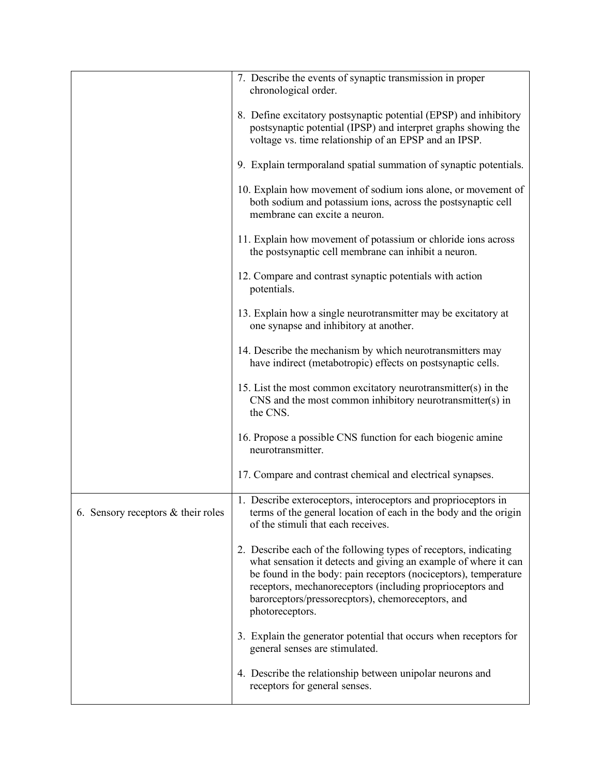|                                      | 7. Describe the events of synaptic transmission in proper<br>chronological order.                                                                                                                                                                                                                                                           |
|--------------------------------------|---------------------------------------------------------------------------------------------------------------------------------------------------------------------------------------------------------------------------------------------------------------------------------------------------------------------------------------------|
|                                      | 8. Define excitatory postsynaptic potential (EPSP) and inhibitory<br>postsynaptic potential (IPSP) and interpret graphs showing the<br>voltage vs. time relationship of an EPSP and an IPSP.                                                                                                                                                |
|                                      | 9. Explain termporaland spatial summation of synaptic potentials.                                                                                                                                                                                                                                                                           |
|                                      | 10. Explain how movement of sodium ions alone, or movement of<br>both sodium and potassium ions, across the postsynaptic cell<br>membrane can excite a neuron.                                                                                                                                                                              |
|                                      | 11. Explain how movement of potassium or chloride ions across<br>the postsynaptic cell membrane can inhibit a neuron.                                                                                                                                                                                                                       |
|                                      | 12. Compare and contrast synaptic potentials with action<br>potentials.                                                                                                                                                                                                                                                                     |
|                                      | 13. Explain how a single neurotransmitter may be excitatory at<br>one synapse and inhibitory at another.                                                                                                                                                                                                                                    |
|                                      | 14. Describe the mechanism by which neurotransmitters may<br>have indirect (metabotropic) effects on postsynaptic cells.                                                                                                                                                                                                                    |
|                                      | 15. List the most common excitatory neurotransmitter(s) in the<br>CNS and the most common inhibitory neurotransmitter(s) in<br>the CNS.                                                                                                                                                                                                     |
|                                      | 16. Propose a possible CNS function for each biogenic amine<br>neurotransmitter.                                                                                                                                                                                                                                                            |
|                                      | 17. Compare and contrast chemical and electrical synapses.                                                                                                                                                                                                                                                                                  |
| 6. Sensory receptors $&$ their roles | 1. Describe exteroceptors, interoceptors and proprioceptors in<br>terms of the general location of each in the body and the origin<br>of the stimuli that each receives.                                                                                                                                                                    |
|                                      | 2. Describe each of the following types of receptors, indicating<br>what sensation it detects and giving an example of where it can<br>be found in the body: pain receptors (nociceptors), temperature<br>receptors, mechanoreceptors (including proprioceptors and<br>barorceptors/pressorecptors), chemoreceptors, and<br>photoreceptors. |
|                                      | 3. Explain the generator potential that occurs when receptors for<br>general senses are stimulated.                                                                                                                                                                                                                                         |
|                                      | 4. Describe the relationship between unipolar neurons and<br>receptors for general senses.                                                                                                                                                                                                                                                  |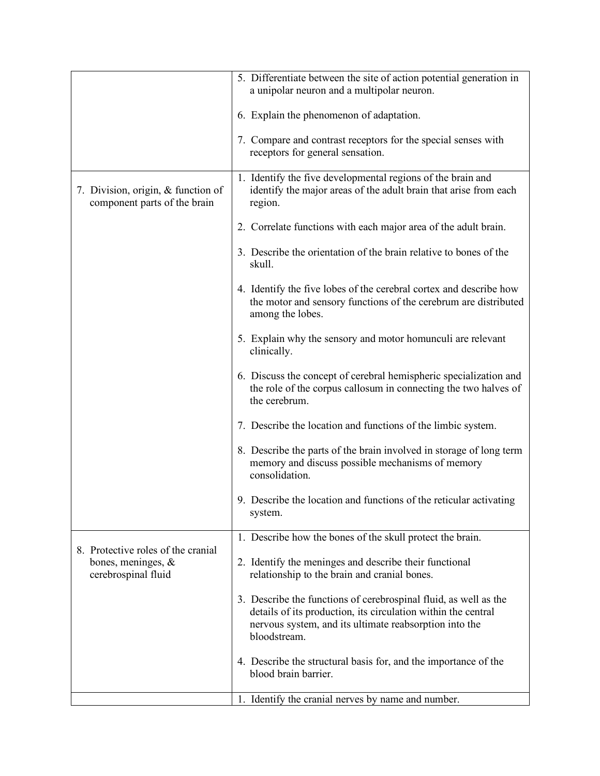|                                                                                    | 5. Differentiate between the site of action potential generation in<br>a unipolar neuron and a multipolar neuron.                                                                                           |
|------------------------------------------------------------------------------------|-------------------------------------------------------------------------------------------------------------------------------------------------------------------------------------------------------------|
|                                                                                    | 6. Explain the phenomenon of adaptation.                                                                                                                                                                    |
|                                                                                    | 7. Compare and contrast receptors for the special senses with<br>receptors for general sensation.                                                                                                           |
| 7. Division, origin, $&$ function of<br>component parts of the brain               | 1. Identify the five developmental regions of the brain and<br>identify the major areas of the adult brain that arise from each<br>region.                                                                  |
|                                                                                    | 2. Correlate functions with each major area of the adult brain.                                                                                                                                             |
|                                                                                    | 3. Describe the orientation of the brain relative to bones of the<br>skull.                                                                                                                                 |
|                                                                                    | 4. Identify the five lobes of the cerebral cortex and describe how<br>the motor and sensory functions of the cerebrum are distributed<br>among the lobes.                                                   |
|                                                                                    | 5. Explain why the sensory and motor homunculi are relevant<br>clinically.                                                                                                                                  |
|                                                                                    | 6. Discuss the concept of cerebral hemispheric specialization and<br>the role of the corpus callosum in connecting the two halves of<br>the cerebrum.                                                       |
|                                                                                    | 7. Describe the location and functions of the limbic system.                                                                                                                                                |
|                                                                                    | 8. Describe the parts of the brain involved in storage of long term<br>memory and discuss possible mechanisms of memory<br>consolidation.                                                                   |
|                                                                                    | 9. Describe the location and functions of the reticular activating<br>system.                                                                                                                               |
| 8. Protective roles of the cranial<br>bones, meninges, $\&$<br>cerebrospinal fluid | 1. Describe how the bones of the skull protect the brain.                                                                                                                                                   |
|                                                                                    | 2. Identify the meninges and describe their functional<br>relationship to the brain and cranial bones.                                                                                                      |
|                                                                                    | 3. Describe the functions of cerebrospinal fluid, as well as the<br>details of its production, its circulation within the central<br>nervous system, and its ultimate reabsorption into the<br>bloodstream. |
|                                                                                    | 4. Describe the structural basis for, and the importance of the<br>blood brain barrier.                                                                                                                     |
|                                                                                    | 1. Identify the cranial nerves by name and number.                                                                                                                                                          |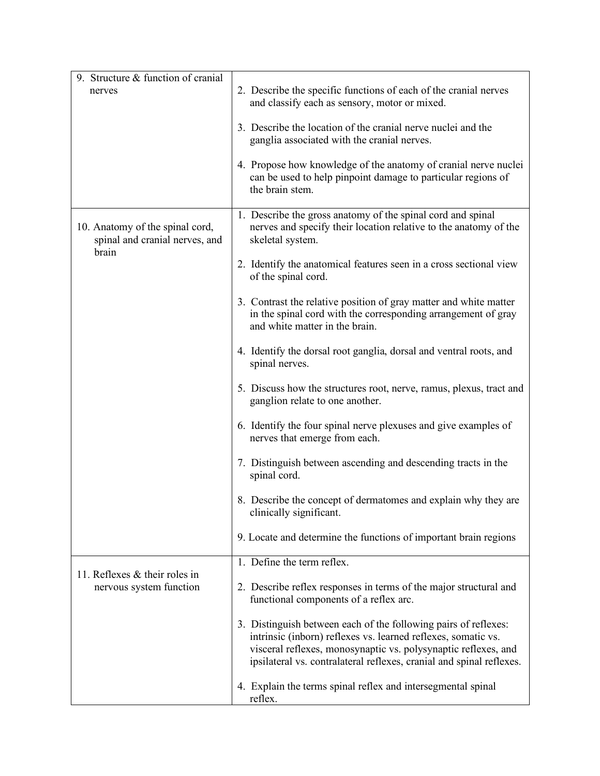| 9. Structure & function of cranial<br>nerves                               | 2. Describe the specific functions of each of the cranial nerves<br>and classify each as sensory, motor or mixed.                                                                                                                                                          |
|----------------------------------------------------------------------------|----------------------------------------------------------------------------------------------------------------------------------------------------------------------------------------------------------------------------------------------------------------------------|
|                                                                            | 3. Describe the location of the cranial nerve nuclei and the<br>ganglia associated with the cranial nerves.                                                                                                                                                                |
|                                                                            | 4. Propose how knowledge of the anatomy of cranial nerve nuclei<br>can be used to help pinpoint damage to particular regions of<br>the brain stem.                                                                                                                         |
| 10. Anatomy of the spinal cord,<br>spinal and cranial nerves, and<br>brain | 1. Describe the gross anatomy of the spinal cord and spinal<br>nerves and specify their location relative to the anatomy of the<br>skeletal system.                                                                                                                        |
|                                                                            | 2. Identify the anatomical features seen in a cross sectional view<br>of the spinal cord.                                                                                                                                                                                  |
|                                                                            | 3. Contrast the relative position of gray matter and white matter<br>in the spinal cord with the corresponding arrangement of gray<br>and white matter in the brain.                                                                                                       |
|                                                                            | 4. Identify the dorsal root ganglia, dorsal and ventral roots, and<br>spinal nerves.                                                                                                                                                                                       |
|                                                                            | 5. Discuss how the structures root, nerve, ramus, plexus, tract and<br>ganglion relate to one another.                                                                                                                                                                     |
|                                                                            | 6. Identify the four spinal nerve plexuses and give examples of<br>nerves that emerge from each.                                                                                                                                                                           |
|                                                                            | 7. Distinguish between ascending and descending tracts in the<br>spinal cord.                                                                                                                                                                                              |
|                                                                            | 8. Describe the concept of dermatomes and explain why they are<br>clinically significant.                                                                                                                                                                                  |
|                                                                            | 9. Locate and determine the functions of important brain regions                                                                                                                                                                                                           |
|                                                                            | 1. Define the term reflex.                                                                                                                                                                                                                                                 |
| 11. Reflexes $&$ their roles in<br>nervous system function                 | 2. Describe reflex responses in terms of the major structural and<br>functional components of a reflex arc.                                                                                                                                                                |
|                                                                            | 3. Distinguish between each of the following pairs of reflexes:<br>intrinsic (inborn) reflexes vs. learned reflexes, somatic vs.<br>visceral reflexes, monosynaptic vs. polysynaptic reflexes, and<br>ipsilateral vs. contralateral reflexes, cranial and spinal reflexes. |
|                                                                            | 4. Explain the terms spinal reflex and intersegmental spinal<br>reflex.                                                                                                                                                                                                    |